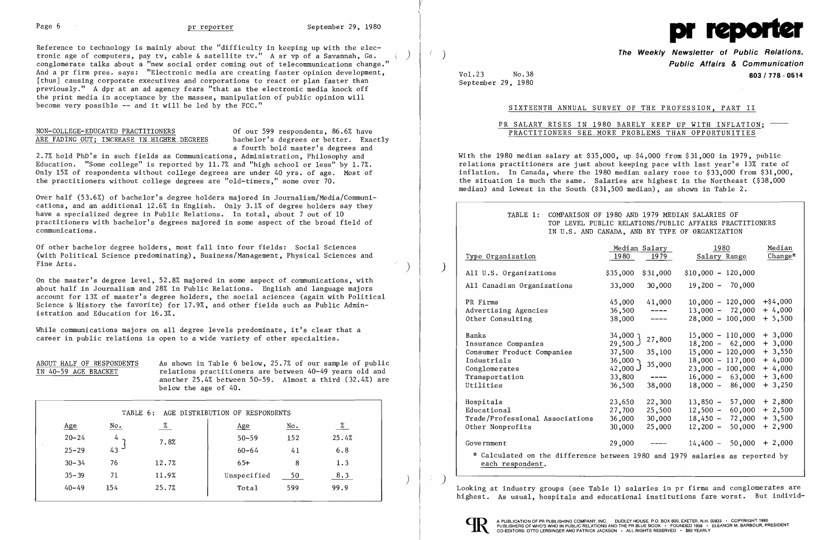Reference to technology is mainly about the "difficulty in keeping up with the electronic age of computers, pay tv, cable & satellite tv." A sr vp of a Savannah, Ga. conglomerate talks about a "new social order coming out of telecommunications change." And a pr firm pres. says: "Electronic media are creating faster opinion development, [thus] causing corporate executives and corporations to react or plan faster than previously." A dpr at an ad agency fears "that as the electronic media knock off the print media in acceptance by the masses, manipulation of public opinion will become very possible **--** and it will be led by the FCC."

ARE FADING OUT; INCREASE IN HIGHER DEGREES bachelor's degrees or better. Exactly a fourth hold master's degrees and

# NON-COLLEGE-EDUCATED PRACTITIONERS Of our 599 respondents, 86.6% have

2.7% hold PhD's in such fields as Communications, Administration, Philosophy and Education. "Some college" is reported by  $11.7%$  and "high school or less" by  $1.7%$ . Only 15% of respondents without college degrees are under 40 yrs. of age. Most of the practitioners without college degrees are "Old-timers," some over 70.

While communications majors on all degree levels predominate, it's clear that a career in public relations is open to a wide variety of other specialties.

 $\overline{\phantom{a}}$ i

Over half (53.6%) of bachelor's degree holders majored in Journalism/Media/Communications, and an additional 12.6% in English. Only 3.1% of degree holders say they have a specialized degree in Public Relations. In total, about 7 out of 10 practitioners with bachelor's degrees majored in some aspect of the broad field of communications.

Of other bachelor degree holders, most fall into four fields: Social Sciences (with Political Science predominating), Business/Management, Physical Sciences and Fine Arts.

On the master's degree level, 52.8% majored in some aspect of communications, with about half in Journalism and 28% in Public Relations. English and language majors account for 13% of master's degree holders, the social sciences (again with Political Science & History the favorite) for 17.9%, and other fields such as Public Administration and Education for 16.3%.

|                                 |            | Median Salary | 1980                      | Median           |
|---------------------------------|------------|---------------|---------------------------|------------------|
| Type Organization               | 1980       | 1979          | Salary Range              | Change*          |
| All U.S. Organizations          | \$35,000   | \$31,000      | $$10,000 - 120,000$       |                  |
| All Canadian Organizations      | 33,000     | 30,000        | $19,200 - 70,000$         |                  |
| PR Firms                        | 45,000     | 41,000        | $10,000 - 120,000$        | $+$ \$4,000      |
| Advertising Agencies            | 36,500     |               | $13,000 - 72,000$         | $+4,000$         |
| Other Consulting                | 38,000     |               | $28,000 - 100,000$        | $+ 5,500$        |
| Banks                           | ר 34,000   | 27,800        | $15,000 - 110,000$        | $+3,000$         |
| Insurance Companies             | 29,500 J   |               | $18,200 - 62,000$         | $+3,000$         |
| Consumer Product Companies      | 37,500     | 35,100        | $15,000 - 120,000$        | $+3,550$         |
| Industrials                     | $36,000$ 1 | 35,000        | $18,000 - 117,000$        | $+4,000$         |
| Conglomerates                   | 42,000 $J$ |               | $23,000 - 100,000$        | $+4,000$         |
| Transportation                  | 33,800     |               | $16,000 - 63,000$         | $+3,600$         |
| Utilities                       | 36,500     | 38,000        | $18,000 - 86,000$         | $+3,250$         |
| Hospitals                       | 23,650     | 22,300        | $13,850 -$                | $57,000 + 2,800$ |
| Educational                     | 27,700     | 25,500        | $12,500 -$<br>60,000      | $+2,500$         |
| Trade/Professional Associations | 36,000     | 30,000        | $18,450 -$<br>72,000      | $+3,500$         |
| Other Nonprofits                | 30,000     | 25,000        | $12,200 -$<br>50,000      | $+2,900$         |
| Government                      | 29,000     |               | $14,400 - 50,000 + 2,000$ |                  |

ABOUT HALF OF RESPONDENTS As shown in Table 6 below, 25.7% of our sample of public IN 40-59 AGE BRACKET relations practitioners are between 40-49 years old and another 25.4% between 50-59. Almost a third (32.4%) are below the age of 40.

| TABLE 6:<br>AGE DISTRIBUTION OF RESPONDENTS |     |       |  |  |  |  |  |
|---------------------------------------------|-----|-------|--|--|--|--|--|
| %<br>No.<br>Age<br><u>Age</u>               | No. | $\%$  |  |  |  |  |  |
| $20 - 24$<br>$50 - 59$<br>4<br>7.8%         | 152 | 25.4% |  |  |  |  |  |
| 43<br>$25 - 29$<br>$60 - 64$                | 41  | 6.8   |  |  |  |  |  |
| 12.7%<br>$30 - 34$<br>$65+$<br>76           | 8   | 1.3   |  |  |  |  |  |
| 11.9%<br>$35 - 39$<br>71<br>Unspecified     | 50  | 8.3   |  |  |  |  |  |
| 25.7%<br>$40 - 49$<br>154<br>Total          | 599 | 99.9  |  |  |  |  |  |

 $\langle \langle \rangle \rangle$ 

l'

) )



Vol.23 September 29, 1980 No.38

**The Weekly Newsletter of Public Relations, Public Affairs & Communication 603/718 - 0514** 

SIXTEENTH ANNUAL SURVEY OF THE PROFESSION, PART II

PR SALARY RISES IN 1980 BARELY KEEP UP WITH INFLATION: -PRACTITIONERS SEE MORE PROBLEMS THAN OPPORTUNITIES

With the 1980 median salary at \$35,000, up \$4,000 from \$31,000 in 1979, public relations practitioners are just about keeping pace with last year's 13% rate of inflation. In Canada, where the 1980 median salary rose to \$33,000 from \$31,000, the situation is much the same. Salaries are highest in the Northeast (\$38,000 median) and lowest in the South (\$31,500 median), as shown in Table 2.

Looking at industry groups (see Table 1) salaries in pr firms and conglomerates are highest. As usual, hospitals and educational institutions fare worst. But individ



) )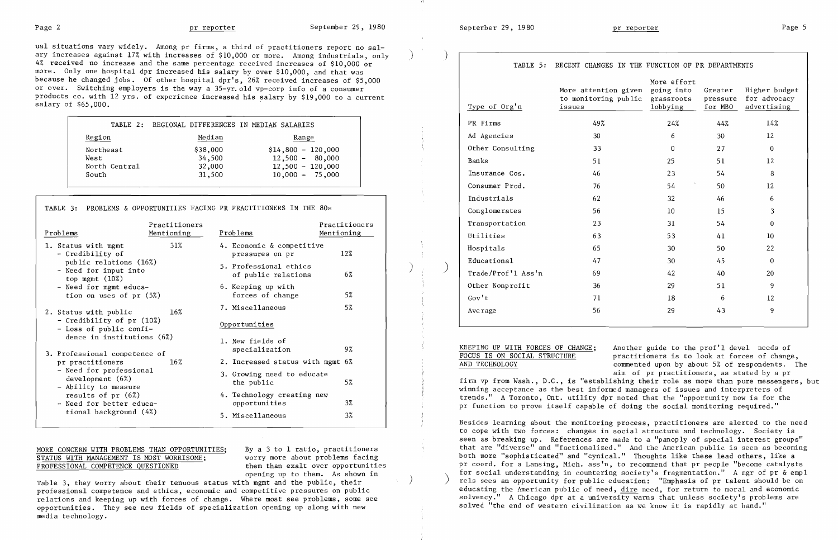$\eta$ 

ual situations vary widely. Among pr firms, a third of practitioners report no  ${\rm sal}$ ary increases against 17% with increases of \$10,000 or more. Among industrials, only 4% received no increase and the same percentage received increases of \$10,000 or more. Only one hospital dpr increased his salary by over \$10,000, and that was because he changed jobs. Of other hospital dpr's, 26% received increases of \$5,000 or over. Switching employers is the way a 35-yr. old vp-corp info of a consumer products co. with 12 yrs. of experience increased his salary by \$19,000 to a current salary of  $$65,000$ .

|                                             | TABLE 2: REGIONAL DIFFERENCES IN MEDIAN SALARIES |                                                                                     |
|---------------------------------------------|--------------------------------------------------|-------------------------------------------------------------------------------------|
| Region                                      | Median                                           | Range                                                                               |
| Northeast<br>West<br>North Central<br>South | \$38,000<br>34,500<br>32,000<br>31,500           | $$14,800 - 120,000$<br>$12,500 - 80,000$<br>$12,500 - 120,000$<br>$10,000 - 75,000$ |

## MORE CONCERN WITH PROBLEMS THAN OPPORTUNITIES; By a 3 to 1 ratio, practitioners STATUS WITH MANAGEMENT IS MOST WORRISOME; worry more about problems facing<br>PROFESSIONAL COMPETENCE QUESTIONED them than exalt over opportunities

| TABLE 3: PROBLEMS & OPPORTUNITIES FACING PR PRACTITIONERS IN THE 80s                                                                                                  |                             |                                               |                             |
|-----------------------------------------------------------------------------------------------------------------------------------------------------------------------|-----------------------------|-----------------------------------------------|-----------------------------|
| Problems                                                                                                                                                              | Practitioners<br>Mentioning | Problems                                      | Practitioners<br>Mentioning |
| 1. Status with mgmt<br>- Credibility of<br>public relations (16%)<br>- Need for input into<br>top mgmt $(10\%)$<br>- Need for mgmt educa-<br>tion on uses of $pr(5%)$ | 31%                         | 4. Economic & competitive<br>pressures on pr  | 12%                         |
|                                                                                                                                                                       |                             | 5. Professional ethics<br>of public relations | 6%                          |
|                                                                                                                                                                       |                             | 6. Keeping up with<br>forces of change        | 5%                          |
| 2. Status with public                                                                                                                                                 | $16\%$                      | 7. Miscellaneous                              | 5%                          |
| - Credibility of pr (10%)<br>- Loss of public confi-<br>dence in institutions (6%)                                                                                    |                             | Opportunities                                 |                             |
|                                                                                                                                                                       |                             | 1. New fields of                              | 9%                          |
| 3. Professional competence of                                                                                                                                         |                             | specialization                                |                             |
| pr practitioners                                                                                                                                                      | 16%                         | 2. Increased status with mgmt 6%              |                             |
| - Need for professional<br>development $(6%)$<br>- Ability to measure<br>results of $pr(6%)$<br>- Need for better educa-                                              |                             | 3. Growing need to educate<br>the public      | 5%                          |
|                                                                                                                                                                       |                             | 4. Technology creating new<br>opportunities   | 3%                          |
| tional background (4%)                                                                                                                                                |                             | 5. Miscellaneous                              | $3\%$                       |

KEEPING UP WITH FORCES OF CHANGE; Another guide to the prof'l devel needs of FOCUS IS ON SOCIAL STRUCTURE practitioners is to look at forces of change FOCUS IS ON SOCIAL STRUCTURE practitioners is to look at forces of change,<br>AND TECHNOLOGY commented upon by about 5% of respondents. T commented upon by about 5% of respondents. The aim of pr practitioners, as stated by a pr firm vp from Wash., D.C., is "establishing their role as more than pure messengers, but winning acceptance as the best informed managers of issues and interpreters of trends." A Toronto, Ont. utility dpr noted that the "opportunity now is for the pr function to prove itself capable of doing the social monitoring required."

Besides learning about the monitoring process, practitioners are alerted to the need to cope with two forces: changes in social structure and technology. Society is seen as breaking up. References are made to a "panoply of special interest groups" that are "diverse" and "factiona1ized." And the American public is seen as becoming both more "sophisticated" and "cynical." Thoughts like these lead others, like a pr coord. for a Lansing, Mich. ass'n, to recommend that pr people "become catalysts opening up to them. As shown in for social understanding in countering society's fragmentation." A mgr of pr & empl<br>h momt and the public their (in their ) and the sees an opportunity for public education: "Emphasis of pr educating the American public of need, dire need, for return to moral and economic solvency." A Chicago dpr at a university warns that unless society's problems are

### TABLE 5: RECENT CHANGES IN THE FUNCTION OF PR DEPARTMENTS

Table 3, they worry about their tenuous status with mgmt and the public, their<br>professional competence and ethics, economic and competitive pressures on public relations and keeping up with forces of change. Where most see problems, some see and the solvency." A Chicago dpr at a university warns that unless society's problem in the concernent most see problems in a long with new opportunities. They see new fields of specialization opening up along with new media technology.

| Type of Org'n      | More attention given<br>to monitoring public<br>issues | More effort<br>going into<br>grassroots<br>lobbying | Greater<br>pressure<br>for MBO | Higher budget<br>for advocacy<br>advertising |
|--------------------|--------------------------------------------------------|-----------------------------------------------------|--------------------------------|----------------------------------------------|
| PR Firms           | 49%                                                    | 24%                                                 | 44%                            | 14%                                          |
| Ad Agencies        | 30                                                     | 6                                                   | 30                             | 12                                           |
| Other Consulting   | 33                                                     | $\overline{0}$                                      | 27                             | $\mathbf 0$                                  |
| Banks              | 51                                                     | 25                                                  | 51                             | 12                                           |
| Insurance Cos.     | 46                                                     | 23                                                  | 54                             | 8                                            |
| Consumer Prod.     | 76                                                     | 54                                                  | 50                             | 12                                           |
| Industrials        | 62                                                     | 32                                                  | 46                             | 6                                            |
| Conglomerates      | 56                                                     | 10 <sup>°</sup>                                     | 15                             | 3                                            |
| Transportation     | 23                                                     | 31                                                  | 54                             | $\bf{0}$                                     |
| Utilities          | 63                                                     | 53                                                  | 41                             | 10 <sup>10</sup>                             |
| Hospitals          | 65                                                     | 30                                                  | 50                             | 22                                           |
| Educational        | 47                                                     | 30                                                  | 45                             | $\overline{0}$                               |
| Trade/Prof'l Ass'n | 69                                                     | 42                                                  | 40                             | 20                                           |
| Other Nonprofit    | 36                                                     | 29                                                  | 51                             | 9                                            |
| Gov't              | 71                                                     | 18                                                  | 6                              | 12                                           |
| Average            | 56                                                     | 29                                                  | 43                             | 9                                            |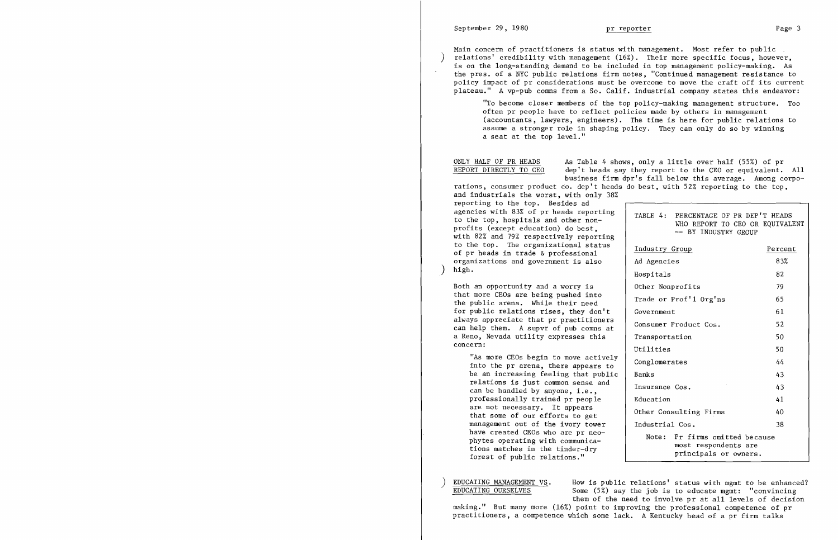Main concern of practitioners is status with management. Most refer to public  $relations'$  credibility with management  $(16%)$ . Their more specific focus, however, is on the long-standing demand to be included in top management policy-making. As the pres. of a NYC public relations firm notes, "Continued management resistance to policy impact of pr considerations must be overcome to move the craft off its current plateau." A vp-pub comns from a So. Calif. industrial company states this endeavor: "To become closer members of the top policy-making management structure. Too often pr people have to reflect policies made by others in management (accountants, lawyers, engineers). The time is here for public relations to assume a stronger role in shaping policy. They can only do so by winning

ONLY HALF OF PR HEADS As Table 4 shows, only a little over half (55%) of pr<br>REPORT DIRECTLY TO CEO dep't heads say they report to the CEO or equivalent. dep't heads say they report to the CEO or equivalent. All business firm dpr's fall below this average. Among corporations, consumer product *co.* dep't heads do best, with 52% reporting to the top,

and industrials the worst, with only 38% reporting to the top. Besides ad<br>agencies with 83% of pr heads reporting to the top. The organizational status<br>of pr heads in trade & professional organizations and government is also<br>high.

a seat at the top level."

EDUCATING MANAGEMENT VS. How is public relations' status with mgmt to be enhanced?<br>EDUCATING OURSELVES Some  $(5%)$  say the job is to educate memt: "convincing Some (5%) say the job is to educate mgmt: "convincing them of the need to involve pr at all levels of decision making." But many more (16%) point to improving the professional competence of pr practitioners, a competence which some lack. A Kentucky head of a pr firm talks

|          | agencies with 83% of pr heads reporting<br>to the top, hospitals and other non-<br>profits (except education) do best,<br>with 82% and 79% respectively reporting                                                                                 | TABLE 4:<br>PERCENTAGE OF PR DEP'T HEADS<br>WHO REPORT TO CEO OR EQUIVALENT<br>-- BY INDUSTRY GROUP |         |  |
|----------|---------------------------------------------------------------------------------------------------------------------------------------------------------------------------------------------------------------------------------------------------|-----------------------------------------------------------------------------------------------------|---------|--|
|          | to the top. The organizational status<br>of pr heads in trade & professional                                                                                                                                                                      | Industry Group                                                                                      | Percent |  |
|          | organizations and government is also                                                                                                                                                                                                              | Ad Agencies                                                                                         | 83%     |  |
|          | high.                                                                                                                                                                                                                                             | Hospitals                                                                                           | 82      |  |
| concern: | Both an opportunity and a worry is<br>that more CEOs are being pushed into<br>the public arena. While their need<br>for public relations rises, they don't<br>always appreciate that pr practitioners<br>can help them. A supvr of pub comns at   | Other Nonprofits                                                                                    | 79      |  |
|          |                                                                                                                                                                                                                                                   | Trade or Prof'l Org'ns                                                                              | 65      |  |
|          |                                                                                                                                                                                                                                                   | Government                                                                                          | 61      |  |
|          |                                                                                                                                                                                                                                                   | Consumer Product Cos.                                                                               | 52      |  |
|          | a Reno, Nevada utility expresses this                                                                                                                                                                                                             | Transportation                                                                                      | 50      |  |
|          |                                                                                                                                                                                                                                                   | Utilities                                                                                           | 50      |  |
|          | "As more CEOs begin to move actively<br>into the pr arena, there appears to                                                                                                                                                                       | Conglomerates                                                                                       | 44      |  |
|          | be an increasing feeling that public                                                                                                                                                                                                              | Banks                                                                                               | 43.     |  |
|          | relations is just common sense and<br>can be handled by anyone, i.e.,                                                                                                                                                                             | Insurance Cos.                                                                                      | 43      |  |
|          | professionally trained pr people                                                                                                                                                                                                                  | Education                                                                                           | 41      |  |
|          | are not necessary. It appears<br>that some of our efforts to get<br>management out of the ivory tower<br>have created CEOs who are pr neo-<br>phytes operating with communica-<br>tions matches in the tinder-dry<br>forest of public relations." | Other Consulting Firms                                                                              | 40      |  |
|          |                                                                                                                                                                                                                                                   | Industrial Cos.                                                                                     | 38      |  |
|          |                                                                                                                                                                                                                                                   | Note: Pr firms omitted because<br>most respondents are<br>principals or owners.                     |         |  |